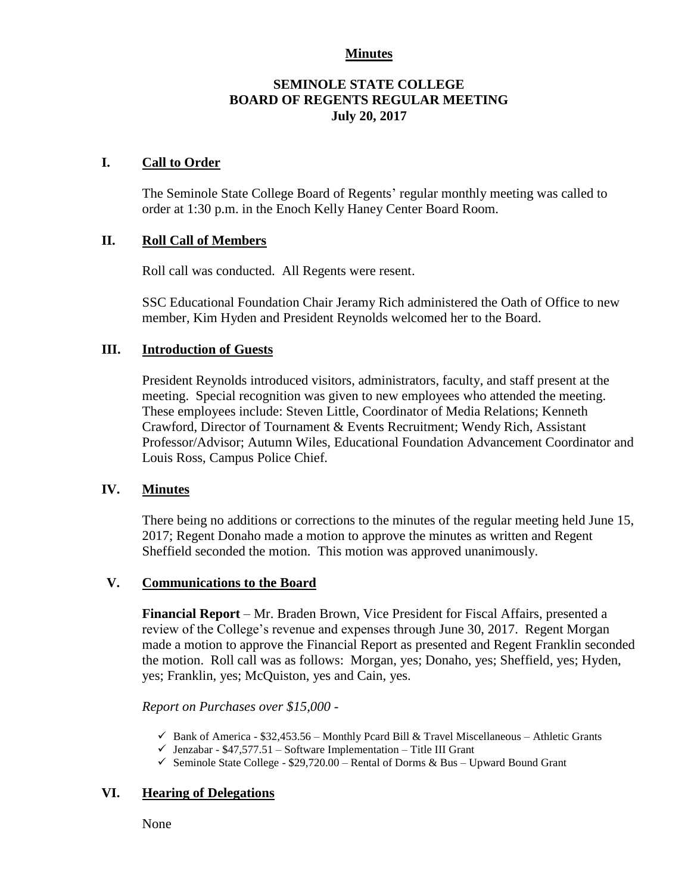### **Minutes**

### **SEMINOLE STATE COLLEGE BOARD OF REGENTS REGULAR MEETING July 20, 2017**

#### **I. Call to Order**

The Seminole State College Board of Regents' regular monthly meeting was called to order at 1:30 p.m. in the Enoch Kelly Haney Center Board Room.

#### **II. Roll Call of Members**

Roll call was conducted. All Regents were resent.

SSC Educational Foundation Chair Jeramy Rich administered the Oath of Office to new member, Kim Hyden and President Reynolds welcomed her to the Board.

#### **III. Introduction of Guests**

President Reynolds introduced visitors, administrators, faculty, and staff present at the meeting. Special recognition was given to new employees who attended the meeting. These employees include: Steven Little, Coordinator of Media Relations; Kenneth Crawford, Director of Tournament & Events Recruitment; Wendy Rich, Assistant Professor/Advisor; Autumn Wiles, Educational Foundation Advancement Coordinator and Louis Ross, Campus Police Chief.

#### **IV. Minutes**

There being no additions or corrections to the minutes of the regular meeting held June 15, 2017; Regent Donaho made a motion to approve the minutes as written and Regent Sheffield seconded the motion. This motion was approved unanimously.

### **V. Communications to the Board**

**Financial Report** – Mr. Braden Brown, Vice President for Fiscal Affairs, presented a review of the College's revenue and expenses through June 30, 2017. Regent Morgan made a motion to approve the Financial Report as presented and Regent Franklin seconded the motion. Roll call was as follows: Morgan, yes; Donaho, yes; Sheffield, yes; Hyden, yes; Franklin, yes; McQuiston, yes and Cain, yes.

*Report on Purchases over \$15,000 -*

- $\checkmark$  Bank of America \$32,453.56 Monthly Pcard Bill & Travel Miscellaneous Athletic Grants
- $\checkmark$  Jenzabar \$47,577.51 Software Implementation Title III Grant
- Seminole State College  $$29,720.00$  Rental of Dorms & Bus Upward Bound Grant

### **VI. Hearing of Delegations**

None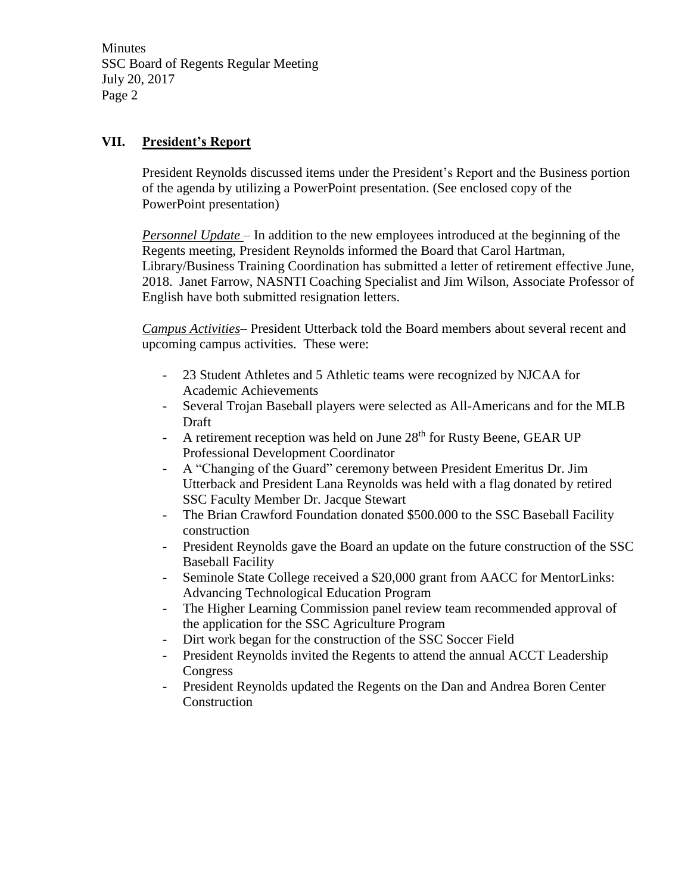Minutes SSC Board of Regents Regular Meeting July 20, 2017 Page 2

# **VII. President's Report**

President Reynolds discussed items under the President's Report and the Business portion of the agenda by utilizing a PowerPoint presentation. (See enclosed copy of the PowerPoint presentation)

*Personnel Update* – In addition to the new employees introduced at the beginning of the Regents meeting, President Reynolds informed the Board that Carol Hartman, Library/Business Training Coordination has submitted a letter of retirement effective June, 2018. Janet Farrow, NASNTI Coaching Specialist and Jim Wilson, Associate Professor of English have both submitted resignation letters.

*Campus Activities*– President Utterback told the Board members about several recent and upcoming campus activities. These were:

- 23 Student Athletes and 5 Athletic teams were recognized by NJCAA for Academic Achievements
- Several Trojan Baseball players were selected as All-Americans and for the MLB Draft
- A retirement reception was held on June 28<sup>th</sup> for Rusty Beene, GEAR UP Professional Development Coordinator
- A "Changing of the Guard" ceremony between President Emeritus Dr. Jim Utterback and President Lana Reynolds was held with a flag donated by retired SSC Faculty Member Dr. Jacque Stewart
- The Brian Crawford Foundation donated \$500.000 to the SSC Baseball Facility construction
- President Reynolds gave the Board an update on the future construction of the SSC Baseball Facility
- Seminole State College received a \$20,000 grant from AACC for MentorLinks: Advancing Technological Education Program
- The Higher Learning Commission panel review team recommended approval of the application for the SSC Agriculture Program
- Dirt work began for the construction of the SSC Soccer Field
- President Reynolds invited the Regents to attend the annual ACCT Leadership Congress
- President Reynolds updated the Regents on the Dan and Andrea Boren Center **Construction**